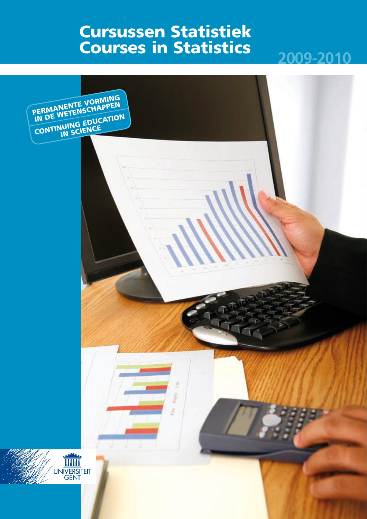# Cursussen Statistiek Courses in Statistics



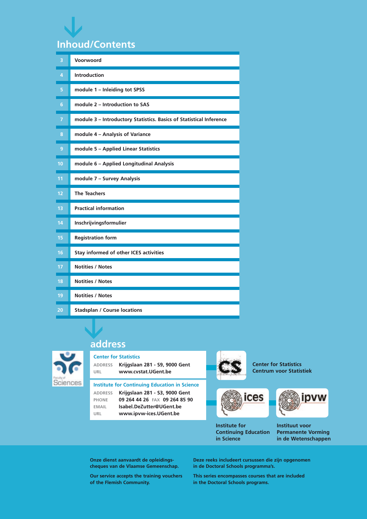# **Inhoud/Contents <**

| 3              | Voorwoord                                                           |
|----------------|---------------------------------------------------------------------|
| 4              | <b>Introduction</b>                                                 |
| 5              | module 1 - Inleiding tot SPSS                                       |
| 6              | module 2 - Introduction to SAS                                      |
| $\overline{7}$ | module 3 - Introductory Statistics. Basics of Statistical Inference |
| 8              | module 4 - Analysis of Variance                                     |
| 9              | module 5 - Applied Linear Statistics                                |
| 10             | module 6 - Applied Longitudinal Analysis                            |
| 11             | module 7 - Survey Analysis                                          |
| 12             | <b>The Teachers</b>                                                 |
| 13             | <b>Practical information</b>                                        |
| 14             | Inschrijvingsformulier                                              |
| 15             | <b>Registration form</b>                                            |
| 16             | Stay informed of other ICES activities                              |
| 17             | <b>Notities / Notes</b>                                             |
| 18             | <b>Notities / Notes</b>                                             |
| 19             | <b>Notities / Notes</b>                                             |
| 20             | <b>Stadsplan / Course locations</b>                                 |
|                |                                                                     |

### **address**



### **Center for Statistics**

**address Krijgslaan 281 - S9, 9000 Gent URL www.cvstat.UGent.be** 

**Institute for Continuing Education in Science address Krijgslaan 281 - S3, 9000 Gent phone 09 264 44 26 FAX 09 264 85 90 email Isabel.DeZutter@UGent.be URL www.ipvw-ices.UGent.be**





**Institute for Continuing Education in Science**



**Center for Statistics Centrum voor Statistiek**

> **Instituut voor Permanente Vorming in de Wetenschappen**

**Onze dienst aanvaardt de opleidingscheques van de Vlaamse Gemeenschap.**

**Our service accepts the training vouchers of the Flemish Community.**

**Deze reeks includeert cursussen die zijn opgenomen in de Doctoral Schools programma's.**

**This series encompasses courses that are included in the Doctoral Schools programs.**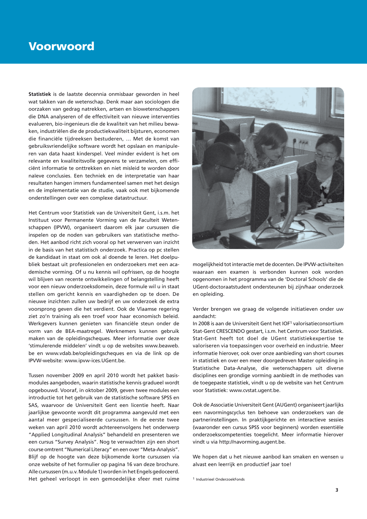### Voorwoord

**Statistiek** is de laatste decennia onmisbaar geworden in heel wat takken van de wetenschap. Denk maar aan sociologen die oorzaken van gedrag natrekken, artsen en biowetenschappers die DNA analyseren of de effectiviteit van nieuwe interventies evalueren, bio-ingenieurs die de kwaliteit van het milieu bewaken, industriëlen die de productiekwaliteit bijsturen, economen die financiële tijdreeksen bestuderen, … Met de komst van gebruiksvriendelijke software wordt het opslaan en manipuleren van data haast kinderspel. Veel minder evident is het om relevante en kwaliteitsvolle gegevens te verzamelen, om efficiënt informatie te onttrekken en niet misleid te worden door naïeve conclusies. Een techniek en de interpretatie van haar resultaten hangen immers fundamenteel samen met het design en de implementatie van de studie, vaak ook met bijkomende onderstellingen over een complexe datastructuur.

Het Centrum voor Statistiek van de Universiteit Gent, i.s.m. het Instituut voor Permanente Vorming van de Faculteit Wetenschappen (IPVW), organiseert daarom elk jaar cursussen die inspelen op de noden van gebruikers van statistische methoden. Het aanbod richt zich vooral op het verwerven van inzicht in de basis van het statistisch onderzoek. Practica op pc stellen de kandidaat in staat om ook al doende te leren. Het doelpubliek bestaat uit professionelen en onderzoekers met een academische vorming. Of u nu kennis wil opfrissen, op de hoogte wil blijven van recente ontwikkelingen of belangstelling heeft voor een nieuw onderzoeksdomein, deze formule wil u in staat stellen om gericht kennis en vaardigheden op te doen. De nieuwe inzichten zullen uw bedrijf en uw onderzoek de extra voorsprong geven die het verdient. Ook de Vlaamse regering ziet zo'n training als een troef voor haar economisch beleid. Werkgevers kunnen genieten van financiële steun onder de vorm van de BEA-maatregel. Werknemers kunnen gebruik maken van de opleidingscheques. Meer informatie over deze 'stimulerende middelen' vindt u op de websites www.beaweb. be en www.vdab.be/opleidingscheques en via de link op de IPVW-website: www.ipvw-ices.UGent.be.

Tussen november 2009 en april 2010 wordt het pakket basismodules aangeboden, waarin statistische kennis gradueel wordt opgebouwd. Vooraf, in oktober 2009, geven twee modules een introductie tot het gebruik van de statistische software SPSS en SAS, waarvoor de Universiteit Gent een licentie heeft. Naar jaarlijkse gewoonte wordt dit programma aangevuld met een aantal meer gespecialiseerde cursussen. In de eerste twee weken van april 2010 wordt achtereenvolgens het onderwerp "Applied Longitudinal Analysis" behandeld en presenteren we een cursus "Survey Analysis". Nog te verwachten zijn een short course omtrent "Numerical Literacy" en een over "Meta-Analysis". Blijf op de hoogte van deze bijkomende korte cursussen via onze website of het formulier op pagina 16 van deze brochure. Alle cursussen (m.u.v. Module 1) worden in het Engels gedoceerd. Het geheel verloopt in een gemoedelijke sfeer met ruime



mogelijkheid tot interactie met de docenten. De IPVW-activiteiten waaraan een examen is verbonden kunnen ook worden opgenomen in het programma van de 'Doctoral Schools' die de UGent-doctoraatstudent ondersteunen bij zijn/haar onderzoek en opleiding.

Verder brengen we graag de volgende initiatieven onder uw aandacht:

In 2008 is aan de Universiteit Gent het IOF1 valorisatieconsortium Stat-Gent CRESCENDO gestart, i.s.m. het Centrum voor Statistiek. Stat-Gent heeft tot doel de UGent statistiekexpertise te valoriseren via toepassingen voor overheid en industrie. Meer informatie hierover, ook over onze aanbieding van short courses in statistiek en over een meer doorgedreven Master opleiding in Statistische Data-Analyse, die wetenschappers uit diverse disciplines een grondige vorming aanbiedt in de methodes van de toegepaste statistiek, vindt u op de website van het Centrum voor Statistiek: www.cvstat.ugent.be.

Ook de Associatie Universiteit Gent (AUGent) organiseert jaarlijks een navormingscyclus ten behoeve van onderzoekers van de partnerinstellingen. In praktijkgerichte en interactieve sessies (waaronder een cursus SPSS voor beginners) worden essentiële onderzoekscompetenties toegelicht. Meer informatie hierover vindt u via http://navorming.augent.be.

We hopen dat u het nieuwe aanbod kan smaken en wensen u alvast een leerrijk en productief jaar toe!

<sup>1</sup> Industrieel OnderzoekFonds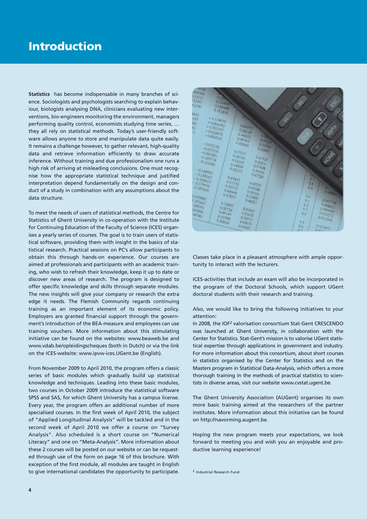## Introduction

**Statistics** has become indispensable in many branches of science. Sociologists and psychologists searching to explain behaviour, biologists analysing DNA, clinicians evaluating new interventions, bio-engineers monitoring the environment, managers performing quality control, economists studying time series, … they all rely on statistical methods. Today's user-friendly software allows anyone to store and manipulate data quite easily. It remains a challenge however, to gather relevant, high-quality data and retrieve information efficiently to draw accurate inference. Without training and due professionalism one runs a high risk of arriving at misleading conclusions. One must recognise how the appropriate statistical technique and justified interpretation depend fundamentally on the design and conduct of a study in combination with any assumptions about the data structure.

To meet the needs of users of statistical methods, the Centre for Statistics of Ghent University in co-operation with the Institute for Continuing Education of the Faculty of Science (ICES) organises a yearly series of courses. The goal is to train users of statistical software, providing them with insight in the basics of statistical research. Practical sessions on PC's allow participants to obtain this through hands-on experience. Our courses are aimed at professionals and participants with an academic training, who wish to refresh their knowledge, keep it up to date or discover new areas of research. The program is designed to offer specific knowledge and skills through separate modules. The new insights will give your company or research the extra edge it needs. The Flemish Community regards continuing training as an important element of its economic policy. Employers are granted financial support through the government's introduction of the BEA-measure and employees can use training vouchers. More information about this stimulating initiative can be found on the websites: www.beaweb.be and www.vdab.be/opleidingscheques (both in Dutch) or via the link on the ICES-website: www.ipvw-ices.UGent.be (English).

From November 2009 to April 2010, the program offers a classic series of basic modules which gradually build up statistical knowledge and techniques. Leading into these basic modules, two courses in October 2009 introduce the statistical software SPSS and SAS, for which Ghent University has a campus license. Every year, the program offers an additional number of more specialised courses. In the first week of April 2010, the subject of "Applied Longitudinal Analysis" will be tackled and in the second week of April 2010 we offer a course on "Survey Analysis". Also scheduled is a short course on "Numerical Literacy" and one on "Meta-Analysis". More information about these 2 courses will be posted on our website or can be requested through use of the form on page 16 of this brochure. With exception of the first module, all modules are taught in English to give international candidates the opportunity to participate.



Classes take place in a pleasant atmosphere with ample opportunity to interact with the lecturers.

ICES-activities that include an exam will also be incorporated in the program of the Doctoral Schools, which support UGent doctoral students with their research and training.

Also, we would like to bring the following initiatives to your attention:

In 2008, the IOF2 valorisation consortium Stat-Gent CRESCENDO was launched at Ghent University, in collaboration with the Center for Statistics. Stat-Gent's mission is to valorise UGent statistical expertise through applications in government and industry. For more information about this consortium, about short courses in statistics organised by the Center for Statistics and on the Masters program in Statistical Data-Analysis, which offers a more thorough training in the methods of practical statistics to scientists in diverse areas, visit our website www.cvstat.ugent.be.

The Ghent University Association (AUGent) organises its own more basic training aimed at the researchers of the partner institutes. More information about this initiative can be found on http://navorming.augent.be.

Hoping the new program meets your expectations, we look forward to meeting you and wish you an enjoyable and productive learning experience!

<sup>2</sup> Industrial Research Fund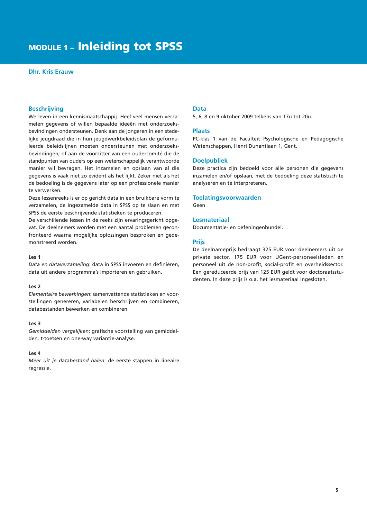## module 1 – Inleiding tot SPSS

#### **Dhr. Kris Erauw**

#### **Beschrijving**

We leven in een kennismaatschappij. Heel veel mensen verzamelen gegevens of willen bepaalde ideeën met onderzoeksbevindingen ondersteunen. Denk aan de jongeren in een stedelijke jeugdraad die in hun jeugdwerkbeleidsplan de geformuleerde beleidslijnen moeten ondersteunen met onderzoeksbevindingen; of aan de voorzitter van een oudercomité die de standpunten van ouders op een wetenschappelijk verantwoorde manier wil bevragen. Het inzamelen en opslaan van al die gegevens is vaak niet zo evident als het lijkt. Zeker niet als het de bedoeling is de gegevens later op een professionele manier te verwerken.

Deze lessenreeks is er op gericht data in een bruikbare vorm te verzamelen, de ingezamelde data in SPSS op te slaan en met SPSS de eerste beschrijvende statistieken te produceren.

De verschillende lessen in de reeks zijn ervaringsgericht opgevat. De deelnemers worden met een aantal problemen geconfronteerd waarna mogelijke oplossingen besproken en gedemonstreerd worden.

#### **Les 1**

*Data en dataverzameling*: data in SPSS invoeren en definiëren, data uit andere programma's importeren en gebruiken.

#### **Les 2**

*Elementaire bewerkingen*: samenvattende statistieken en voorstellingen genereren, variabelen herschrijven en combineren, databestanden bewerken en combineren.

#### **Les 3**

*Gemiddelden vergelijken*: grafische voorstelling van gemiddelden, t-toetsen en one-way variantie-analyse.

#### **Les 4**

*Meer uit je databestand halen*: de eerste stappen in lineaire regressie.

#### **Data**

5, 6, 8 en 9 oktober 2009 telkens van 17u tot 20u.

#### **Plaats**

PC-klas 1 van de Faculteit Psychologische en Pedagogische Wetenschappen, Henri Dunantlaan 1, Gent.

#### **Doelpubliek**

Deze practica zijn bedoeld voor alle personen die gegevens inzamelen en/of opslaan, met de bedoeling deze statistisch te analyseren en te interpreteren.

#### **Toelatingsvoorwaarden**

Geen

#### **Lesmateriaal**

Documentatie- en oefeningenbundel.

#### **Prijs**

De deelnameprijs bedraagt 325 EUR voor deelnemers uit de private sector, 175 EUR voor UGent-personeelsleden en personeel uit de non-profit, social-profit en overheidssector. Een gereduceerde prijs van 125 EUR geldt voor doctoraatsstudenten. In deze prijs is o.a. het lesmateriaal ingesloten.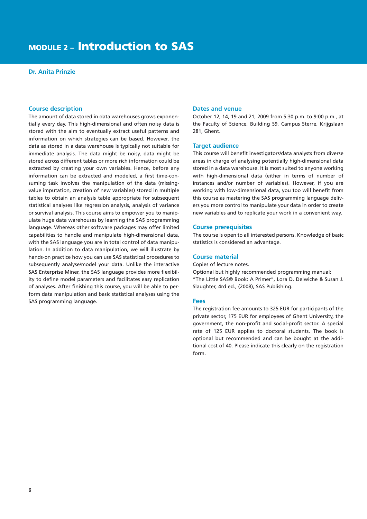### module 2 – Introduction to SAS

#### **Dr. Anita Prinzie**

#### **Course description**

The amount of data stored in data warehouses grows exponentially every day. This high-dimensional and often noisy data is stored with the aim to eventually extract useful patterns and information on which strategies can be based. However, the data as stored in a data warehouse is typically not suitable for immediate analysis. The data might be noisy, data might be stored across different tables or more rich information could be extracted by creating your own variables. Hence, before any information can be extracted and modeled, a first time-consuming task involves the manipulation of the data (missingvalue imputation, creation of new variables) stored in multiple tables to obtain an analysis table appropriate for subsequent statistical analyses like regression analysis, analysis of variance or survival analysis. This course aims to empower you to manipulate huge data warehouses by learning the SAS programming language. Whereas other software packages may offer limited capabilities to handle and manipulate high-dimensional data, with the SAS language you are in total control of data manipulation. In addition to data manipulation, we will illustrate by hands-on practice how you can use SAS statistical procedures to subsequently analyse/model your data. Unlike the interactive SAS Enterprise Miner, the SAS language provides more flexibility to define model parameters and facilitates easy replication of analyses. After finishing this course, you will be able to perform data manipulation and basic statistical analyses using the SAS programming language.

#### **Dates and venue**

October 12, 14, 19 and 21, 2009 from 5:30 p.m. to 9:00 p.m., at the Faculty of Science, Building S9, Campus Sterre, Krijgslaan 281, Ghent.

#### **Target audience**

This course will benefit investigators/data analysts from diverse areas in charge of analysing potentially high-dimensional data stored in a data warehouse. It is most suited to anyone working with high-dimensional data (either in terms of number of instances and/or number of variables). However, if you are working with low-dimensional data, you too will benefit from this course as mastering the SAS programming language delivers you more control to manipulate your data in order to create new variables and to replicate your work in a convenient way.

#### **Course prerequisites**

The course is open to all interested persons. Knowledge of basic statistics is considered an advantage.

#### **Course material**

Copies of lecture notes.

Optional but highly recommended programming manual: "The Little SAS® Book: A Primer", Lora D. Delwiche & Susan J. Slaughter, 4rd ed., (2008), SAS Publishing.

#### **Fees**

The registration fee amounts to 325 EUR for participants of the private sector, 175 EUR for employees of Ghent University, the government, the non-profit and social-profit sector. A special rate of 125 EUR applies to doctoral students. The book is optional but recommended and can be bought at the additional cost of 40. Please indicate this clearly on the registration form.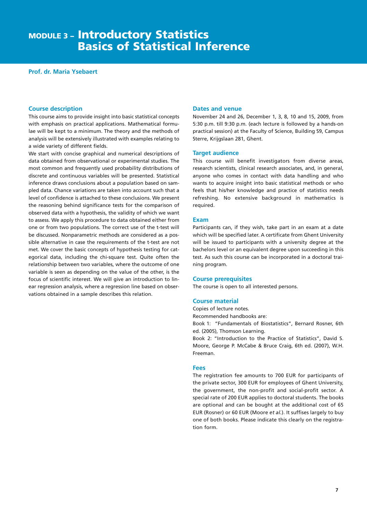### **MODULE 3 - Introductory Statistics** Basics of Statistical Inference

#### **Prof. dr. Maria Ysebaert**

#### **Course description**

This course aims to provide insight into basic statistical concepts with emphasis on practical applications. Mathematical formulae will be kept to a minimum. The theory and the methods of analysis will be extensively illustrated with examples relating to a wide variety of different fields.

We start with concise graphical and numerical descriptions of data obtained from observational or experimental studies. The most common and frequently used probability distributions of discrete and continuous variables will be presented. Statistical inference draws conclusions about a population based on sampled data. Chance variations are taken into account such that a level of confidence is attached to these conclusions. We present the reasoning behind significance tests for the comparison of observed data with a hypothesis, the validity of which we want to assess. We apply this procedure to data obtained either from one or from two populations. The correct use of the t-test will be discussed. Nonparametric methods are considered as a possible alternative in case the requirements of the t-test are not met. We cover the basic concepts of hypothesis testing for categorical data, including the chi-square test. Quite often the relationship between two variables, where the outcome of one variable is seen as depending on the value of the other, is the focus of scientific interest. We will give an introduction to linear regression analysis, where a regression line based on observations obtained in a sample describes this relation.

#### **Dates and venue**

November 24 and 26, December 1, 3, 8, 10 and 15, 2009, from 5:30 p.m. till 9:30 p.m. (each lecture is followed by a hands-on practical session) at the Faculty of Science, Building S9, Campus Sterre, Krijgslaan 281, Ghent.

#### **Target audience**

This course will benefit investigators from diverse areas, research scientists, clinical research associates, and, in general, anyone who comes in contact with data handling and who wants to acquire insight into basic statistical methods or who feels that his/her knowledge and practice of statistics needs refreshing. No extensive background in mathematics is required.

#### **Exam**

Participants can, if they wish, take part in an exam at a date which will be specified later. A certificate from Ghent University will be issued to participants with a university degree at the bachelors level or an equivalent degree upon succeeding in this test. As such this course can be incorporated in a doctoral training program.

#### **Course prerequisites**

The course is open to all interested persons.

#### **Course material**

Copies of lecture notes.

Recommended handbooks are:

Book 1: "Fundamentals of Biostatistics", Bernard Rosner, 6th ed. (2005), Thomson Learning.

Book 2: "Introduction to the Practice of Statistics", David S. Moore, George P. McCabe & Bruce Craig, 6th ed. (2007), W.H. Freeman.

#### **Fees**

The registration fee amounts to 700 EUR for participants of the private sector, 300 EUR for employees of Ghent University, the government, the non-profit and social-profit sector. A special rate of 200 EUR applies to doctoral students. The books are optional and can be bought at the additional cost of 65 EUR (Rosner) or 60 EUR (Moore *et al.*). It suffises largely to buy one of both books. Please indicate this clearly on the registration form.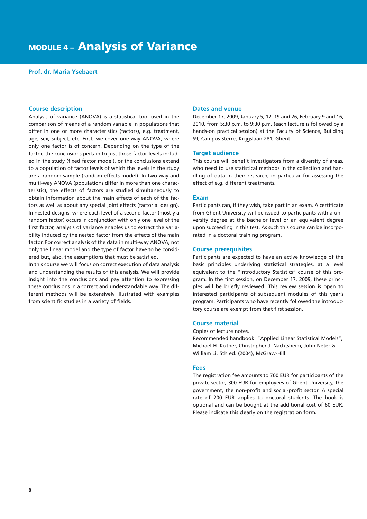#### **Prof. dr. Maria Ysebaert**

#### **Course description**

Analysis of variance (ANOVA) is a statistical tool used in the comparison of means of a random variable in populations that differ in one or more characteristics (factors), e.g. treatment, age, sex, subject, etc. First, we cover one-way ANOVA, where only one factor is of concern. Depending on the type of the factor, the conclusions pertain to just those factor levels included in the study (fixed factor model), or the conclusions extend to a population of factor levels of which the levels in the study are a random sample (random effects model). In two-way and multi-way ANOVA (populations differ in more than one characteristic), the effects of factors are studied simultaneously to obtain information about the main effects of each of the factors as well as about any special joint effects (factorial design). In nested designs, where each level of a second factor (mostly a random factor) occurs in conjunction with only one level of the first factor, analysis of variance enables us to extract the variability induced by the nested factor from the effects of the main factor. For correct analysis of the data in multi-way ANOVA, not only the linear model and the type of factor have to be considered but, also, the assumptions that must be satisfied.

In this course we will focus on correct execution of data analysis and understanding the results of this analysis. We will provide insight into the conclusions and pay attention to expressing these conclusions in a correct and understandable way. The different methods will be extensively illustrated with examples from scientific studies in a variety of fields.

#### **Dates and venue**

December 17, 2009, January 5, 12, 19 and 26, February 9 and 16, 2010, from 5:30 p.m. to 9:30 p.m. (each lecture is followed by a hands-on practical session) at the Faculty of Science, Building S9, Campus Sterre, Krijgslaan 281, Ghent.

#### **Target audience**

This course will benefit investigators from a diversity of areas, who need to use statistical methods in the collection and handling of data in their research, in particular for assessing the effect of e.g. different treatments.

#### **Exam**

Participants can, if they wish, take part in an exam. A certificate from Ghent University will be issued to participants with a university degree at the bachelor level or an equivalent degree upon succeeding in this test. As such this course can be incorporated in a doctoral training program.

#### **Course prerequisites**

Participants are expected to have an active knowledge of the basic principles underlying statistical strategies, at a level equivalent to the "Introductory Statistics" course of this program. In the first session, on December 17, 2009, these principles will be briefly reviewed. This review session is open to interested participants of subsequent modules of this year's program. Participants who have recently followed the introductory course are exempt from that first session.

#### **Course material**

#### Copies of lecture notes.

Recommended handbook: "Applied Linear Statistical Models", Michael H. Kutner, Christopher J. Nachtsheim, John Neter & William Li, 5th ed. (2004), McGraw-Hill.

#### **Fees**

The registration fee amounts to 700 EUR for participants of the private sector, 300 EUR for employees of Ghent University, the government, the non-profit and social-profit sector. A special rate of 200 EUR applies to doctoral students. The book is optional and can be bought at the additional cost of 60 EUR. Please indicate this clearly on the registration form.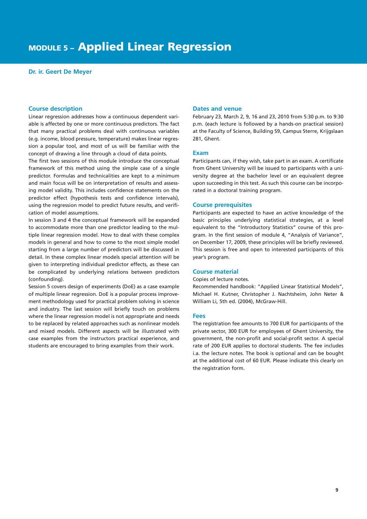#### **Dr. ir. Geert De Meyer**

#### **Course description**

Linear regression addresses how a continuous dependent variable is affected by one or more continuous predictors. The fact that many practical problems deal with continuous variables (e.g. income, blood pressure, temperature) makes linear regression a popular tool, and most of us will be familiar with the concept of drawing a line through a cloud of data points.

The first two sessions of this module introduce the conceptual framework of this method using the simple case of a single predictor. Formulas and technicalities are kept to a minimum and main focus will be on interpretation of results and assessing model validity. This includes confidence statements on the predictor effect (hypothesis tests and confidence intervals), using the regression model to predict future results, and verification of model assumptions.

In session 3 and 4 the conceptual framework will be expanded to accommodate more than one predictor leading to the multiple linear regression model. How to deal with these complex models in general and how to come to the most simple model starting from a large number of predictors will be discussed in detail. In these complex linear models special attention will be given to interpreting individual predictor effects, as these can be complicated by underlying relations between predictors (confounding).

Session 5 covers design of experiments (DoE) as a case example of multiple linear regression. DoE is a popular process improvement methodology used for practical problem solving in science and industry. The last session will briefly touch on problems where the linear regression model is not appropriate and needs to be replaced by related approaches such as nonlinear models and mixed models. Different aspects will be illustrated with case examples from the instructors practical experience, and students are encouraged to bring examples from their work.

#### **Dates and venue**

February 23, March 2, 9, 16 and 23, 2010 from 5:30 p.m. to 9:30 p.m. (each lecture is followed by a hands-on practical session) at the Faculty of Science, Building S9, Campus Sterre, Krijgslaan 281, Ghent.

#### **Exam**

Participants can, if they wish, take part in an exam. A certificate from Ghent University will be issued to participants with a university degree at the bachelor level or an equivalent degree upon succeeding in this test. As such this course can be incorporated in a doctoral training program.

#### **Course prerequisites**

Participants are expected to have an active knowledge of the basic principles underlying statistical strategies, at a level equivalent to the "Introductory Statistics" course of this program. In the first session of module 4, "Analysis of Variance", on December 17, 2009, these principles will be briefly reviewed. This session is free and open to interested participants of this year's program.

#### **Course material**

#### Copies of lecture notes.

Recommended handbook: "Applied Linear Statistical Models", Michael H. Kutner, Christopher J. Nachtsheim, John Neter & William Li, 5th ed. (2004), McGraw-Hill.

#### **Fees**

The registration fee amounts to 700 EUR for participants of the private sector, 300 EUR for employees of Ghent University, the government, the non-profit and social-profit sector. A special rate of 200 EUR applies to doctoral students. The fee includes i.a. the lecture notes. The book is optional and can be bought at the additional cost of 60 EUR. Please indicate this clearly on the registration form.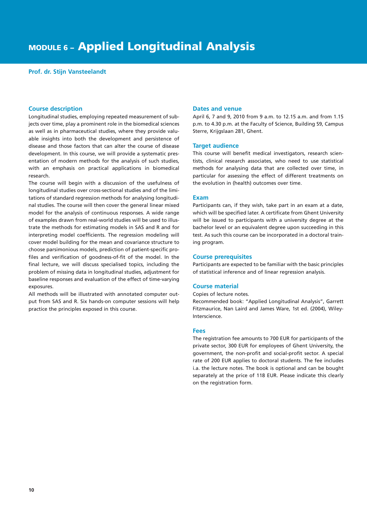#### **Prof. dr. Stijn Vansteelandt**

#### **Course description**

Longitudinal studies, employing repeated measurement of subjects over time, play a prominent role in the biomedical sciences as well as in pharmaceutical studies, where they provide valuable insights into both the development and persistence of disease and those factors that can alter the course of disease development. In this course, we will provide a systematic presentation of modern methods for the analysis of such studies, with an emphasis on practical applications in biomedical research.

The course will begin with a discussion of the usefulness of longitudinal studies over cross-sectional studies and of the limitations of standard regression methods for analysing longitudinal studies. The course will then cover the general linear mixed model for the analysis of continuous responses. A wide range of examples drawn from real-world studies will be used to illustrate the methods for estimating models in SAS and R and for interpreting model coefficients. The regression modeling will cover model building for the mean and covariance structure to choose parsimonious models, prediction of patient-specific profiles and verification of goodness-of-fit of the model. In the final lecture, we will discuss specialised topics, including the problem of missing data in longitudinal studies, adjustment for baseline responses and evaluation of the effect of time-varying exposures.

All methods will be illustrated with annotated computer output from SAS and R. Six hands-on computer sessions will help practice the principles exposed in this course.

#### **Dates and venue**

April 6, 7 and 9, 2010 from 9 a.m. to 12.15 a.m. and from 1.15 p.m. to 4.30 p.m. at the Faculty of Science, Building S9, Campus Sterre, Krijgslaan 281, Ghent.

#### **Target audience**

This course will benefit medical investigators, research scientists, clinical research associates, who need to use statistical methods for analysing data that are collected over time, in particular for assessing the effect of different treatments on the evolution in (health) outcomes over time.

#### **Exam**

Participants can, if they wish, take part in an exam at a date, which will be specified later. A certificate from Ghent University will be issued to participants with a university degree at the bachelor level or an equivalent degree upon succeeding in this test. As such this course can be incorporated in a doctoral training program.

#### **Course prerequisites**

Participants are expected to be familiar with the basic principles of statistical inference and of linear regression analysis.

#### **Course material**

Copies of lecture notes.

Recommended book: "Applied Longitudinal Analysis", Garrett Fitzmaurice, Nan Laird and James Ware, 1st ed. (2004), Wiley-Interscience.

#### **Fees**

The registration fee amounts to 700 EUR for participants of the private sector, 300 EUR for employees of Ghent University, the government, the non-profit and social-profit sector. A special rate of 200 EUR applies to doctoral students. The fee includes i.a. the lecture notes. The book is optional and can be bought separately at the price of 118 EUR. Please indicate this clearly on the registration form.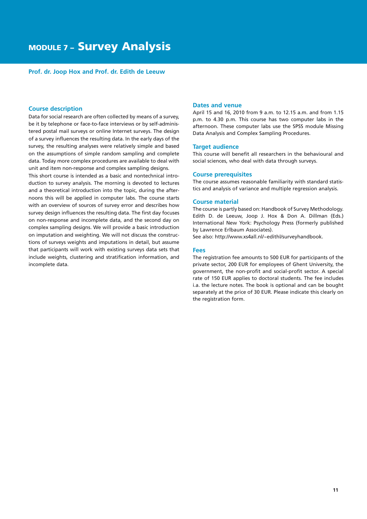#### **Prof. dr. Joop Hox and Prof. dr. Edith de Leeuw**

#### **Course description**

Data for social research are often collected by means of a survey, be it by telephone or face-to-face interviews or by self-administered postal mail surveys or online Internet surveys. The design of a survey influences the resulting data. In the early days of the survey, the resulting analyses were relatively simple and based on the assumptions of simple random sampling and complete data. Today more complex procedures are available to deal with unit and item non-response and complex sampling designs.

This short course is intended as a basic and nontechnical introduction to survey analysis. The morning is devoted to lectures and a theoretical introduction into the topic, during the afternoons this will be applied in computer labs. The course starts with an overview of sources of survey error and describes how survey design influences the resulting data. The first day focuses on non-response and incomplete data, and the second day on complex sampling designs. We will provide a basic introduction on imputation and weighting. We will not discuss the constructions of surveys weights and imputations in detail, but assume that participants will work with existing surveys data sets that include weights, clustering and stratification information, and incomplete data.

#### **Dates and venue**

April 15 and 16, 2010 from 9 a.m. to 12.15 a.m. and from 1.15 p.m. to 4.30 p.m. This course has two computer labs in the afternoon. These computer labs use the SPSS module Missing Data Analysis and Complex Sampling Procedures.

#### **Target audience**

This course will benefit all researchers in the behavioural and social sciences, who deal with data through surveys.

#### **Course prerequisites**

The course assumes reasonable familiarity with standard statistics and analysis of variance and multiple regression analysis.

#### **Course material**

The course is partly based on: Handbook of Survey Methodology. Edith D. de Leeuw, Joop J. Hox & Don A. Dillman (Eds.) International New York: Psychology Press (formerly published by Lawrence Erlbaum Associates).

See also: http://www.xs4all.nl/~edithl/surveyhandbook.

#### **Fees**

The registration fee amounts to 500 EUR for participants of the private sector, 200 EUR for employees of Ghent University, the government, the non-profit and social-profit sector. A special rate of 150 EUR applies to doctoral students. The fee includes i.a. the lecture notes. The book is optional and can be bought separately at the price of 30 EUR. Please indicate this clearly on the registration form.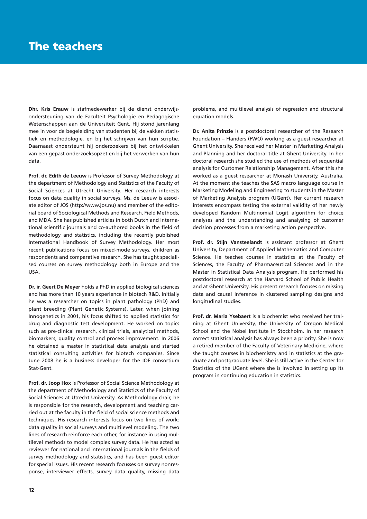**Dhr. Kris Erauw** is stafmedewerker bij de dienst onderwijsondersteuning van de Faculteit Psychologie en Pedagogische Wetenschappen aan de Universiteit Gent. Hij stond jarenlang mee in voor de begeleiding van studenten bij de vakken statistiek en methodologie, en bij het schrijven van hun scriptie. Daarnaast ondersteunt hij onderzoekers bij het ontwikkelen van een gepast onderzoeksopzet en bij het verwerken van hun data.

**Prof. dr. Edith de Leeuw** is Professor of Survey Methodology at the department of Methodology and Statistics of the Faculty of Social Sciences at Utrecht University. Her research interests focus on data quality in social surveys. Ms. de Leeuw is associate editor of JOS (http://www.jos.nu) and member of the editorial board of Sociological Methods and Research, Field Methods, and MDA. She has published articles in both Dutch and international scientific journals and co-authored books in the field of methodology and statistics, including the recently published International Handbook of Survey Methodology. Her most recent publications focus on mixed-mode surveys, children as respondents and comparative research. She has taught specialised courses on survey methodology both in Europe and the USA.

**Dr. ir. Geert De Meyer** holds a PhD in applied biological sciences and has more than 10 years experience in biotech R&D. Initially he was a researcher on topics in plant pathology (PhD) and plant breeding (Plant Genetic Systems). Later, when joining Innogenetics in 2001, his focus shifted to applied statistics for drug and diagnostic test development. He worked on topics such as pre-clinical research, clinical trials, analytical methods, biomarkers, quality control and process improvement. In 2006 he obtained a master in statistical data analysis and started statistical consulting activities for biotech companies. Since June 2008 he is a business developer for the IOF consortium Stat-Gent.

**Prof. dr. Joop Hox** is Professor of Social Science Methodology at the department of Methodology and Statistics of the Faculty of Social Sciences at Utrecht University. As Methodology chair, he is responsible for the research, development and teaching carried out at the faculty in the field of social science methods and techniques. His research interests focus on two lines of work: data quality in social surveys and multilevel modeling. The two lines of research reinforce each other, for instance in using multilevel methods to model complex survey data. He has acted as reviewer for national and international journals in the fields of survey methodology and statistics, and has been guest editor for special issues. His recent research focusses on survey nonresponse, interviewer effects, survey data quality, missing data

problems, and multilevel analysis of regression and structural equation models.

**Dr. Anita Prinzie** is a postdoctoral researcher of the Research Foundation – Flanders (FWO) working as a guest researcher at Ghent University. She received her Master in Marketing Analysis and Planning and her doctoral title at Ghent University. In her doctoral research she studied the use of methods of sequential analysis for Customer Relationship Management. After this she worked as a guest researcher at Monash University, Australia. At the moment she teaches the SAS macro language course in Marketing Modeling and Engineering to students in the Master of Marketing Analysis program (UGent). Her current research interests encompass testing the external validity of her newly developed Random Multinomial Logit algorithm for choice analyses and the understanding and analysing of customer decision processes from a marketing action perspective.

Prof. dr. Stijn Vansteelandt is assistant professor at Ghent University, Department of Applied Mathematics and Computer Science. He teaches courses in statistics at the Faculty of Sciences, the Faculty of Pharmaceutical Sciences and in the Master in Statistical Data Analysis program. He performed his postdoctoral research at the Harvard School of Public Health and at Ghent University. His present research focuses on missing data and causal inference in clustered sampling designs and longitudinal studies.

**Prof. dr. Maria Ysebaert** is a biochemist who received her training at Ghent University, the University of Oregon Medical School and the Nobel Institute in Stockholm. In her research correct statistical analysis has always been a priority. She is now a retired member of the Faculty of Veterinary Medicine, where she taught courses in biochemistry and in statistics at the graduate and postgraduate level. She is still active in the Center for Statistics of the UGent where she is involved in setting up its program in continuing education in statistics.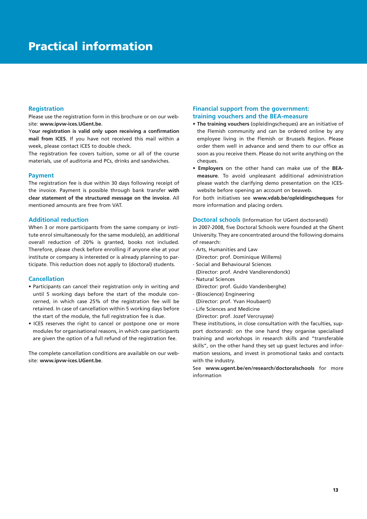#### **Registration**

Please use the registration form in this brochure or on our website: **www.ipvw-ices.UGent.be**.

Y**our registration is valid only upon receiving a confirmation mail from ICES**. If you have not received this mail within a week, please contact ICES to double check.

The registration fee covers tuition, some or all of the course materials, use of auditoria and PCs, drinks and sandwiches.

#### **Payment**

The registration fee is due within 30 days following receipt of the invoice. Payment is possible through bank transfer **with clear statement of the structured message on the invoice**. All mentioned amounts are free from VAT.

#### **Additional reduction**

When 3 or more participants from the same company or institute enrol simultaneously for the same module(s), an additional overall reduction of 20% is granted, books not included. Therefore, please check before enrolling if anyone else at your institute or company is interested or is already planning to participate. This reduction does not apply to (doctoral) students.

#### **Cancellation**

- Participants can cancel their registration only in writing and until 5 working days before the start of the module concerned, in which case 25% of the registration fee will be retained. In case of cancellation within 5 working days before the start of the module, the full registration fee is due.
- ICES reserves the right to cancel or postpone one or more modules for organisational reasons, in which case participants are given the option of a full refund of the registration fee.

The complete cancellation conditions are available on our website: **www.ipvw-ices.UGent.be**.

#### **Financial support from the government: training vouchers and the BEA-measure**

- **The training vouchers** (opleidingscheques) are an initiative of the Flemish community and can be ordered online by any employee living in the Flemish or Brussels Region. Please order them well in advance and send them to our office as soon as you receive them. Please do not write anything on the cheques
- **Employers** on the other hand can make use of the **BEAmeasure**. To avoid unpleasant additional administration please watch the clarifying demo presentation on the ICESwebsite before opening an account on beaweb.

For both initiatives see **www.vdab.be/opleidingscheques** for more information and placing orders.

**Doctoral schools** (Information for UGent doctorandi) In 2007-2008, five Doctoral Schools were founded at the Ghent University. They are concentrated around the following domains of research:

- Arts, Humanities and Law
- (Director: prof. Dominique Willems)
- Social and Behavioural Sciences
- (Director: prof. André Vandierendonck)
- Natural Sciences (Director: prof. Guido Vandenberghe)
- (Bioscience) Engineering
- (Director: prof. Yvan Houbaert)
- Life Sciences and Medicine
- (Director: prof. Jozef Vercruysse)

These institutions, in close consultation with the faculties, support doctorandi: on the one hand they organise specialised training and workshops in research skills and "transferable skills", on the other hand they set up guest lectures and information sessions, and invest in promotional tasks and contacts with the industry.

See **www.ugent.be/en/research/doctoralschools** for more information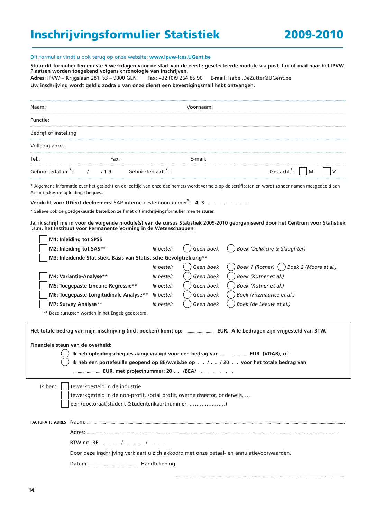## Inschrijvingsformulier Statistiek 2009-2010

#### Dit formulier vindt u ook terug op onze website: **www.ipvw-ices.UGent.be**

**Stuur dit formulier ten minste 5 werkdagen voor de start van de eerste geselecteerde module via post, fax of mail naar het IPVW. Plaatsen worden toegekend volgens chronologie van inschrijven. Adres:** IPVW – Krijgslaan 281, S3 – 9000 GENT **Fax:** +32 (0)9 264 85 90 **E-mail:** Isabel.DeZutter@UGent.be

**Uw inschrijving wordt geldig zodra u van onze dienst een bevestigingsmail hebt ontvangen.**

| Naam:                                                                                                                         | Voornaam:               |                                                                                                                                                  |
|-------------------------------------------------------------------------------------------------------------------------------|-------------------------|--------------------------------------------------------------------------------------------------------------------------------------------------|
| Functie:                                                                                                                      |                         |                                                                                                                                                  |
| Bedrijf of instelling:                                                                                                        |                         |                                                                                                                                                  |
| Volledig adres:                                                                                                               |                         |                                                                                                                                                  |
| Tel.:<br>Fax:                                                                                                                 | E-mail:                 |                                                                                                                                                  |
| Geboortedatum <sup>2</sup> :<br>Geboorteplaats <sup>7</sup> :<br>/ 19                                                         |                         | Geslacht <sup>o</sup> :<br>M                                                                                                                     |
| Accor i.h.k.v. de opleidingscheques                                                                                           |                         | * Algemene informatie over het geslacht en de leeftijd van onze deelnemers wordt vermeld op de certificaten en wordt zonder namen meegedeeld aan |
| Verplicht voor UGent-deelnemers: SAP interne bestelbonnummer ?: 4 3                                                           |                         |                                                                                                                                                  |
| ° Gelieve ook de goedgekeurde bestelbon zelf met dit inschrijvingsformulier mee te sturen.                                    |                         |                                                                                                                                                  |
| i.s.m. het Instituut voor Permanente Vorming in de Wetenschappen:                                                             |                         | Ja, ik schrijf me in voor de volgende module(s) van de cursus Statistiek 2009-2010 georganiseerd door het Centrum voor Statistiek                |
| M1: Inleiding tot SPSS                                                                                                        |                         |                                                                                                                                                  |
| M2: Inleiding tot SAS**                                                                                                       | Geen boek<br>Ik bestel: | Boek (Delwiche & Slaughter)                                                                                                                      |
| M3: Inleidende Statistiek. Basis van Statistische Gevolgtrekking**                                                            |                         |                                                                                                                                                  |
|                                                                                                                               | Ik bestel:<br>Geen boek | Boek 1 (Rosner) () Boek 2 (Moore et al.)                                                                                                         |
| M4: Variantie-Analyse**                                                                                                       | Geen boek<br>Ik bestel: | Boek (Kutner et al.)                                                                                                                             |
| M5: Toegepaste Lineaire Regressie**                                                                                           | Geen boek<br>Ik bestel: | Boek (Kutner et al.)                                                                                                                             |
| M6: Toegepaste Longitudinale Analyse**                                                                                        | Geen boek<br>Ik bestel: | Boek (Fitzmaurice et al.)                                                                                                                        |
| M7: Survey Analyse**                                                                                                          | Ik bestel:<br>Geen boek | Boek (de Leeuw et al.)                                                                                                                           |
| ** Deze cursussen worden in het Engels gedoceerd.                                                                             |                         |                                                                                                                                                  |
|                                                                                                                               |                         |                                                                                                                                                  |
| Financiële steun van de overheid:                                                                                             |                         |                                                                                                                                                  |
| Ik heb opleidingscheques aangevraagd voor een bedrag van  EUR (VDAB), of                                                      |                         |                                                                                                                                                  |
|                                                                                                                               |                         | Ik heb een portefeuille geopend op BEAweb.be op / / 20 voor het totale bedrag van                                                                |
|                                                                                                                               |                         |                                                                                                                                                  |
|                                                                                                                               |                         |                                                                                                                                                  |
| Ik ben:<br>tewerkgesteld in de industrie                                                                                      |                         |                                                                                                                                                  |
| tewerkgesteld in de non-profit, social profit, overheidssector, onderwijs,<br>een (doctoraat)student (Studentenkaartnummer: ) |                         |                                                                                                                                                  |
|                                                                                                                               |                         |                                                                                                                                                  |
| <b>FACTURATIE ADRES</b>                                                                                                       |                         |                                                                                                                                                  |
|                                                                                                                               |                         |                                                                                                                                                  |
| BTW nr: BE / /                                                                                                                |                         |                                                                                                                                                  |
| Door deze inschrijving verklaart u zich akkoord met onze betaal- en annulatievoorwaarden.                                     |                         |                                                                                                                                                  |
|                                                                                                                               |                         |                                                                                                                                                  |
|                                                                                                                               |                         |                                                                                                                                                  |

…………………………………………………………………………………………………………………………..............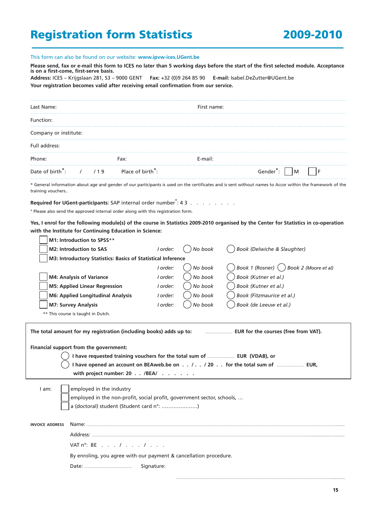## Registration form Statistics 2009-2010

This form can also be found on our website: **www.ipvw-ices.UGent.be** 

**Please send, fax or e-mail this form to ICES no later than 5 working days before the start of the first selected module. Acceptance is on a first-come, first-serve basis. Address:** ICES – Krijgslaan 281, S3 – 9000 GENT **Fax:** +32 (0)9 264 85 90 **E-mail:** Isabel.DeZutter@UGent.be **Your registration becomes valid after receiving email confirmation from our service.**

| Last Name:                           |                               | First name: |               |  |
|--------------------------------------|-------------------------------|-------------|---------------|--|
| Function:                            |                               |             |               |  |
| Company or institute:                |                               |             |               |  |
| Full address:                        |                               |             |               |  |
| Phone:                               | Fax:                          | E-mail:     |               |  |
| Date of birth <sup>*</sup> :<br>1/19 | Place of birth <sup>*</sup> : |             | M<br>Gender¨: |  |

\* General information about age and gender of our participants is used on the certificates and is sent without names to Accor within the framework of the training vouchers..

**Required for UGent-participants:** SAP internal order number<sup>°</sup>: 4 3 . . . . . . . . .

° Please also send the approved internal order along with this registration form.

**Yes, I enrol for the following module(s) of the course in Statistics 2009-2010 organised by the Center for Statistics in co-operation with the Institute for Continuing Education in Science:**

|                        | M1: Introduction to SPSS**                                                                                                                                                                                                                                                                                                         |            |         |                                                                            |
|------------------------|------------------------------------------------------------------------------------------------------------------------------------------------------------------------------------------------------------------------------------------------------------------------------------------------------------------------------------|------------|---------|----------------------------------------------------------------------------|
|                        | M2: Introduction to SAS                                                                                                                                                                                                                                                                                                            | I order:   | No book | Book (Delwiche & Slaughter)                                                |
|                        | M3: Introductory Statistics: Basics of Statistical Inference                                                                                                                                                                                                                                                                       |            |         |                                                                            |
|                        |                                                                                                                                                                                                                                                                                                                                    | I order:   | No book | Book 1 (Rosner) () Book 2 (Moore et al)                                    |
|                        | <b>M4: Analysis of Variance</b>                                                                                                                                                                                                                                                                                                    | I order:   | No book | Book (Kutner et al.)                                                       |
|                        | <b>M5: Applied Linear Regression</b>                                                                                                                                                                                                                                                                                               | I order:   | No book | Book (Kutner et al.)                                                       |
|                        | M6: Applied Longitudinal Analysis                                                                                                                                                                                                                                                                                                  | I order:   | No book | Book (Fitzmaurice et al.)                                                  |
|                        | <b>M7: Survey Analysis</b>                                                                                                                                                                                                                                                                                                         | I order:   | No book | Book (de Leeuw et al.)                                                     |
|                        | ** This course is taught in Dutch.                                                                                                                                                                                                                                                                                                 |            |         |                                                                            |
|                        | The total amount for my registration (including books) adds up to:                                                                                                                                                                                                                                                                 |            |         |                                                                            |
| I am:                  | Financial support from the government:<br>with project number: 20 /BEA/<br>employed in the industry<br>employed in the non-profit, social profit, government sector, schools,<br>a (doctoral) student (Student card n°: )                                                                                                          |            |         | I have opened an account on BEAweb.be on / / 20 for the total sum of  EUR, |
| <b>INVOICE ADDRESS</b> | Name: the state of the state of the state of the state of the state of the state of the state of the state of the state of the state of the state of the state of the state of the state of the state of the state of the stat<br>Address:<br>VAT $n^{\circ}$ : BE $\cdot \cdot \cdot$ / $\cdot \cdot \cdot$ / $\cdot \cdot \cdot$ |            |         |                                                                            |
|                        | By enroling, you agree with our payment & cancellation procedure.                                                                                                                                                                                                                                                                  | Signature: |         |                                                                            |

…………………………………………………………………………………………………………………………..............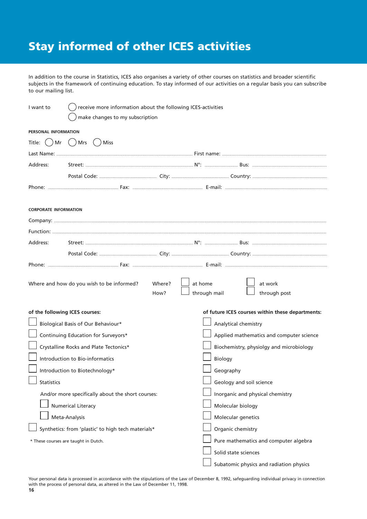## Stay informed of other ICES activities

In addition to the course in Statistics, ICES also organises a variety of other courses on statistics and broader scientific subjects in the framework of continuing education. To stay informed of our activities on a regular basis you can subscribe to our mailing list.

| I want to                      | receive more information about the following ICES-activities |                |                          |                                                  |
|--------------------------------|--------------------------------------------------------------|----------------|--------------------------|--------------------------------------------------|
|                                | make changes to my subscription                              |                |                          |                                                  |
| <b>PERSONAL INFORMATION</b>    |                                                              |                |                          |                                                  |
|                                | Title: $( )$ Mr $( )$ Mrs $( )$ Miss                         |                |                          |                                                  |
|                                |                                                              |                |                          |                                                  |
| Address:                       |                                                              |                |                          |                                                  |
|                                |                                                              |                |                          |                                                  |
|                                |                                                              |                |                          |                                                  |
| <b>CORPORATE INFORMATION</b>   |                                                              |                |                          |                                                  |
|                                |                                                              |                |                          |                                                  |
|                                |                                                              |                |                          |                                                  |
| Address:                       |                                                              |                |                          |                                                  |
|                                |                                                              |                |                          |                                                  |
|                                |                                                              |                |                          |                                                  |
|                                | Where and how do you wish to be informed?                    | Where?<br>How? | at home<br>through mail  | at work<br>through post                          |
| of the following ICES courses: |                                                              |                |                          | of future ICES courses within these departments: |
|                                | Biological Basis of Our Behaviour*                           |                | Analytical chemistry     |                                                  |
|                                | Continuing Education for Surveyors*                          |                |                          | Applied mathematics and computer science         |
|                                | Crystalline Rocks and Plate Tectonics*                       |                |                          | Biochemistry, physiolgy and microbiology         |
|                                | Introduction to Bio-informatics                              |                | Biology                  |                                                  |
|                                | Introduction to Biotechnology*                               |                | Geography                |                                                  |
| <b>Statistics</b>              |                                                              |                | Geology and soil science |                                                  |
|                                | And/or more specifically about the short courses:            |                |                          | Inorganic and physical chemistry                 |
|                                | <b>Numerical Literacy</b>                                    |                | Molecular biology        |                                                  |
|                                | Meta-Analysis                                                |                | Molecular genetics       |                                                  |
|                                | Synthetics: from 'plastic' to high tech materials*           |                | Organic chemistry        |                                                  |
|                                | * These courses are taught in Dutch.                         |                |                          | Pure mathematics and computer algebra            |
|                                |                                                              |                | Solid state sciences     |                                                  |
|                                |                                                              |                |                          | Subatomic physics and radiation physics          |

Your personal data is processed in accordance with the stipulations of the Law of December 8, 1992, safeguarding individual privacy in connection with the process of personal data, as altered in the Law of December 11, 1998.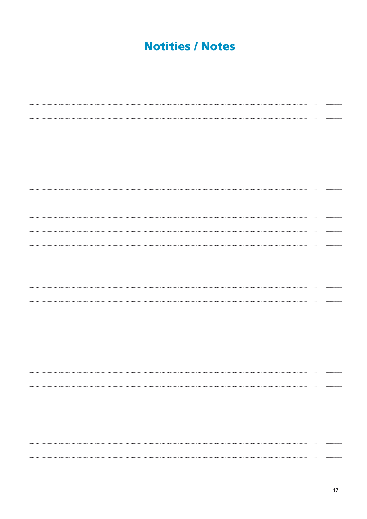## **Notities / Notes**

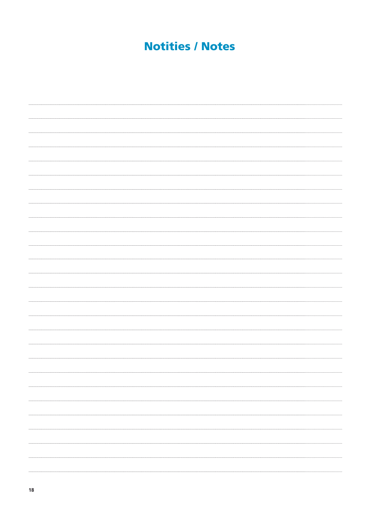## **Notities / Notes**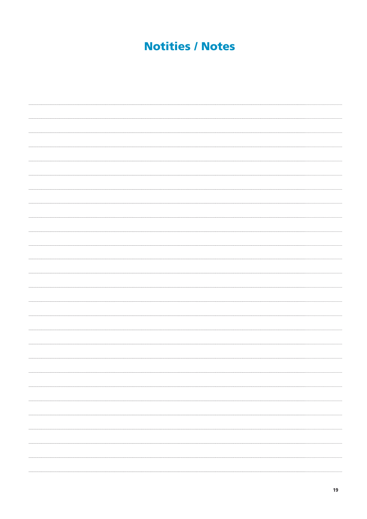## **Notities / Notes**